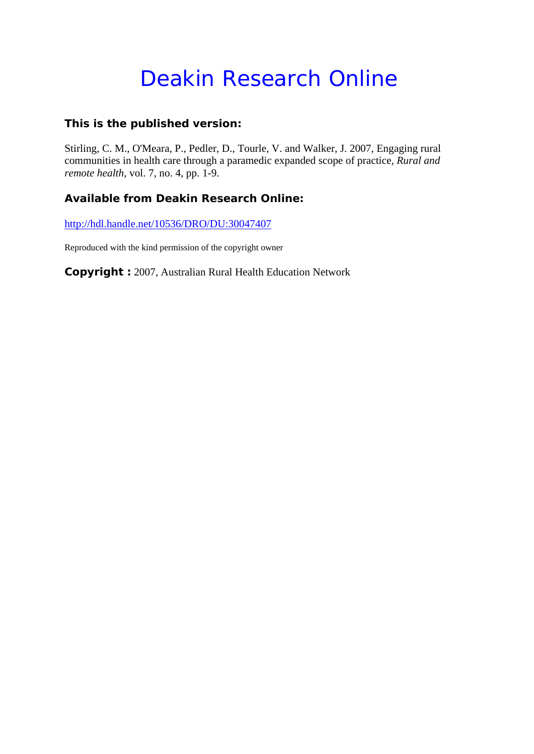# Deakin Research Online

#### **This is the published version:**

Stirling, C. M., O'Meara, P., Pedler, D., Tourle, V. and Walker, J. 2007, Engaging rural communities in health care through a paramedic expanded scope of practice*, Rural and remote health*, vol. 7, no. 4, pp. 1-9.

### **Available from Deakin Research Online:**

http://hdl.handle.net/10536/DRO/DU:30047407

Reproduced with the kind permission of the copyright owner

**Copyright :** 2007, Australian Rural Health Education Network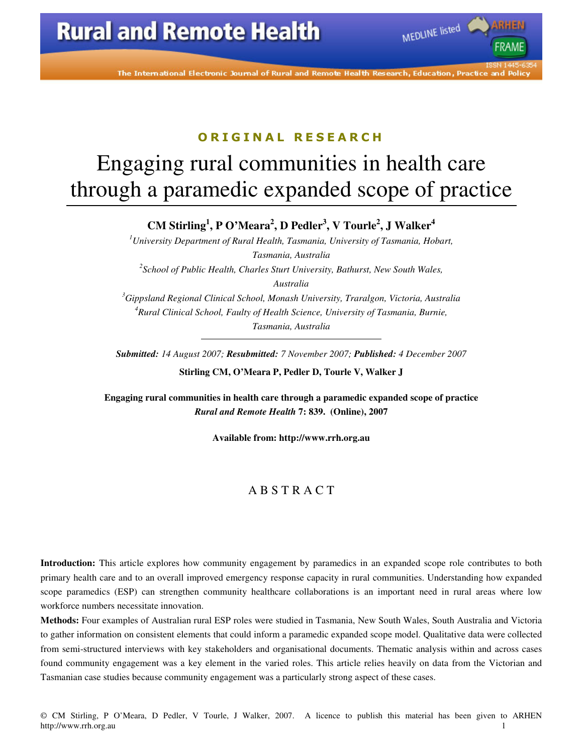The International Electronic Journal of Rural and Remote Health Research, Education, Practice and Policy

MEDLINE listed

### ORIGINAL RESEARCH

# Engaging rural communities in health care through a paramedic expanded scope of practice

**CM Stirling<sup>1</sup> , P O'Meara<sup>2</sup> , D Pedler<sup>3</sup> , V Tourle<sup>2</sup> , J Walker<sup>4</sup>**

*<sup>1</sup>University Department of Rural Health, Tasmania, University of Tasmania, Hobart, Tasmania, Australia 2 School of Public Health, Charles Sturt University, Bathurst, New South Wales, Australia <sup>3</sup>Gippsland Regional Clinical School, Monash University, Traralgon, Victoria, Australia <sup>4</sup>Rural Clinical School, Faulty of Health Science, University of Tasmania, Burnie, Tasmania, Australia* 

*Submitted: 14 August 2007; Resubmitted: 7 November 2007; Published: 4 December 2007* 

**Stirling CM, O'Meara P, Pedler D, Tourle V, Walker J** 

**Engaging rural communities in health care through a paramedic expanded scope of practice**  *Rural and Remote Health* **7: 839. (Online), 2007** 

**Available from: http://www.rrh.org.au** 

#### A B S T R A C T

**Introduction:** This article explores how community engagement by paramedics in an expanded scope role contributes to both primary health care and to an overall improved emergency response capacity in rural communities. Understanding how expanded scope paramedics (ESP) can strengthen community healthcare collaborations is an important need in rural areas where low workforce numbers necessitate innovation.

**Methods:** Four examples of Australian rural ESP roles were studied in Tasmania, New South Wales, South Australia and Victoria to gather information on consistent elements that could inform a paramedic expanded scope model. Qualitative data were collected from semi-structured interviews with key stakeholders and organisational documents. Thematic analysis within and across cases found community engagement was a key element in the varied roles. This article relies heavily on data from the Victorian and Tasmanian case studies because community engagement was a particularly strong aspect of these cases.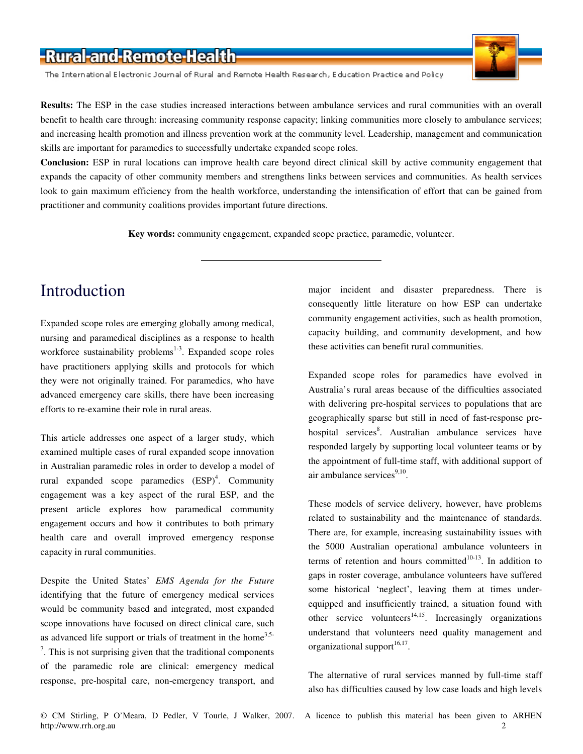The International Electronic Journal of Rural and Remote Health Research, Education Practice and Policy



**Conclusion:** ESP in rural locations can improve health care beyond direct clinical skill by active community engagement that expands the capacity of other community members and strengthens links between services and communities. As health services look to gain maximum efficiency from the health workforce, understanding the intensification of effort that can be gained from practitioner and community coalitions provides important future directions.

**Key words:** community engagement, expanded scope practice, paramedic, volunteer.

# Introduction

Expanded scope roles are emerging globally among medical, nursing and paramedical disciplines as a response to health workforce sustainability problems $1-3$ . Expanded scope roles have practitioners applying skills and protocols for which they were not originally trained. For paramedics, who have advanced emergency care skills, there have been increasing efforts to re-examine their role in rural areas.

This article addresses one aspect of a larger study, which examined multiple cases of rural expanded scope innovation in Australian paramedic roles in order to develop a model of rural expanded scope paramedics  $(ESP)^4$ . Community engagement was a key aspect of the rural ESP, and the present article explores how paramedical community engagement occurs and how it contributes to both primary health care and overall improved emergency response capacity in rural communities.

Despite the United States' *EMS Agenda for the Future* identifying that the future of emergency medical services would be community based and integrated, most expanded scope innovations have focused on direct clinical care, such as advanced life support or trials of treatment in the home<sup>3,5-</sup>  $7$ . This is not surprising given that the traditional components of the paramedic role are clinical: emergency medical response, pre-hospital care, non-emergency transport, and

major incident and disaster preparedness. There is consequently little literature on how ESP can undertake community engagement activities, such as health promotion, capacity building, and community development, and how these activities can benefit rural communities.

Expanded scope roles for paramedics have evolved in Australia's rural areas because of the difficulties associated with delivering pre-hospital services to populations that are geographically sparse but still in need of fast-response prehospital services<sup>8</sup>. Australian ambulance services have responded largely by supporting local volunteer teams or by the appointment of full-time staff, with additional support of air ambulance services<sup>9,10</sup>.

These models of service delivery, however, have problems related to sustainability and the maintenance of standards. There are, for example, increasing sustainability issues with the 5000 Australian operational ambulance volunteers in terms of retention and hours committed $10-13$ . In addition to gaps in roster coverage, ambulance volunteers have suffered some historical 'neglect', leaving them at times underequipped and insufficiently trained, a situation found with other service volunteers<sup>14,15</sup>. Increasingly organizations understand that volunteers need quality management and organizational support<sup>16,17</sup>.

The alternative of rural services manned by full-time staff also has difficulties caused by low case loads and high levels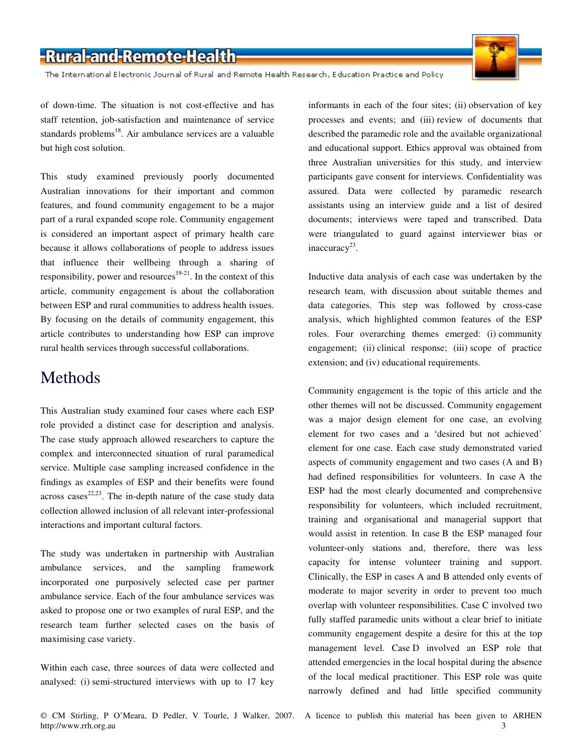The International Electronic Journal of Rural and Remote Health Research, Education Practice and Policy

of down-time. The situation is not cost-effective and has staff retention, job-satisfaction and maintenance of service standards problems<sup>18</sup>. Air ambulance services are a valuable but high cost solution.

This study examined previously poorly documented Australian innovations for their important and common features, and found community engagement to be a major part of a rural expanded scope role. Community engagement is considered an important aspect of primary health care because it allows collaborations of people to address issues that influence their wellbeing through a sharing of responsibility, power and resources<sup>19-21</sup>. In the context of this article, community engagement is about the collaboration between ESP and rural communities to address health issues. By focusing on the details of community engagement, this article contributes to understanding how ESP can improve rural health services through successful collaborations.

### Methods

This Australian study examined four cases where each ESP role provided a distinct case for description and analysis. The case study approach allowed researchers to capture the complex and interconnected situation of rural paramedical service. Multiple case sampling increased confidence in the findings as examples of ESP and their benefits were found  $across cases<sup>22,23</sup>$ . The in-depth nature of the case study data collection allowed inclusion of all relevant inter-professional interactions and important cultural factors.

The study was undertaken in partnership with Australian ambulance services, and the sampling framework incorporated one purposively selected case per partner ambulance service. Each of the four ambulance services was asked to propose one or two examples of rural ESP, and the research team further selected cases on the basis of maximising case variety.

Within each case, three sources of data were collected and analysed: (i) semi-structured interviews with up to 17 key informants in each of the four sites; (ii) observation of key processes and events; and (iii) review of documents that described the paramedic role and the available organizational and educational support. Ethics approval was obtained from three Australian universities for this study, and interview participants gave consent for interviews. Confidentiality was assured. Data were collected by paramedic research assistants using an interview guide and a list of desired documents; interviews were taped and transcribed. Data were triangulated to guard against interviewer bias or inaccuracy<sup>23</sup>.

Inductive data analysis of each case was undertaken by the research team, with discussion about suitable themes and data categories. This step was followed by cross-case analysis, which highlighted common features of the ESP roles. Four overarching themes emerged: (i) community engagement; (ii) clinical response; (iii) scope of practice extension; and (iv) educational requirements.

Community engagement is the topic of this article and the other themes will not be discussed. Community engagement was a major design element for one case, an evolving element for two cases and a 'desired but not achieved' element for one case. Each case study demonstrated varied aspects of community engagement and two cases (A and B) had defined responsibilities for volunteers. In case A the ESP had the most clearly documented and comprehensive responsibility for volunteers, which included recruitment, training and organisational and managerial support that would assist in retention. In case B the ESP managed four volunteer-only stations and, therefore, there was less capacity for intense volunteer training and support. Clinically, the ESP in cases A and B attended only events of moderate to major severity in order to prevent too much overlap with volunteer responsibilities. Case C involved two fully staffed paramedic units without a clear brief to initiate community engagement despite a desire for this at the top management level. Case D involved an ESP role that attended emergencies in the local hospital during the absence of the local medical practitioner. This ESP role was quite narrowly defined and had little specified community

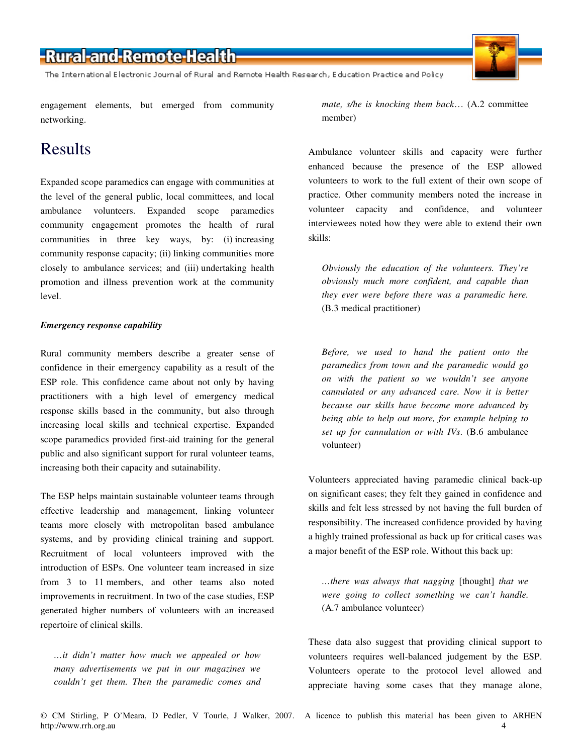The International Electronic Journal of Rural and Remote Health Research, Education Practice and Policy

engagement elements, but emerged from community networking.

### Results

Expanded scope paramedics can engage with communities at the level of the general public, local committees, and local ambulance volunteers. Expanded scope paramedics community engagement promotes the health of rural communities in three key ways, by: (i) increasing community response capacity; (ii) linking communities more closely to ambulance services; and (iii) undertaking health promotion and illness prevention work at the community level.

#### *Emergency response capability*

Rural community members describe a greater sense of confidence in their emergency capability as a result of the ESP role. This confidence came about not only by having practitioners with a high level of emergency medical response skills based in the community, but also through increasing local skills and technical expertise. Expanded scope paramedics provided first-aid training for the general public and also significant support for rural volunteer teams, increasing both their capacity and sutainability.

The ESP helps maintain sustainable volunteer teams through effective leadership and management, linking volunteer teams more closely with metropolitan based ambulance systems, and by providing clinical training and support. Recruitment of local volunteers improved with the introduction of ESPs. One volunteer team increased in size from 3 to 11 members, and other teams also noted improvements in recruitment. In two of the case studies, ESP generated higher numbers of volunteers with an increased repertoire of clinical skills.

*…it didn't matter how much we appealed or how many advertisements we put in our magazines we couldn't get them. Then the paramedic comes and*  *mate, s/he is knocking them back*… (A.2 committee member)

Ambulance volunteer skills and capacity were further enhanced because the presence of the ESP allowed volunteers to work to the full extent of their own scope of practice. Other community members noted the increase in volunteer capacity and confidence, and volunteer interviewees noted how they were able to extend their own skills:

*Obviously the education of the volunteers. They're obviously much more confident, and capable than they ever were before there was a paramedic here.*  (B.3 medical practitioner)

*Before, we used to hand the patient onto the paramedics from town and the paramedic would go on with the patient so we wouldn't see anyone cannulated or any advanced care. Now it is better because our skills have become more advanced by being able to help out more, for example helping to set up for cannulation or with IVs*. (B.6 ambulance volunteer)

Volunteers appreciated having paramedic clinical back-up on significant cases; they felt they gained in confidence and skills and felt less stressed by not having the full burden of responsibility. The increased confidence provided by having a highly trained professional as back up for critical cases was a major benefit of the ESP role. Without this back up:

*…there was always that nagging* [thought] *that we were going to collect something we can't handle.* (A.7 ambulance volunteer)

These data also suggest that providing clinical support to volunteers requires well-balanced judgement by the ESP. Volunteers operate to the protocol level allowed and appreciate having some cases that they manage alone,

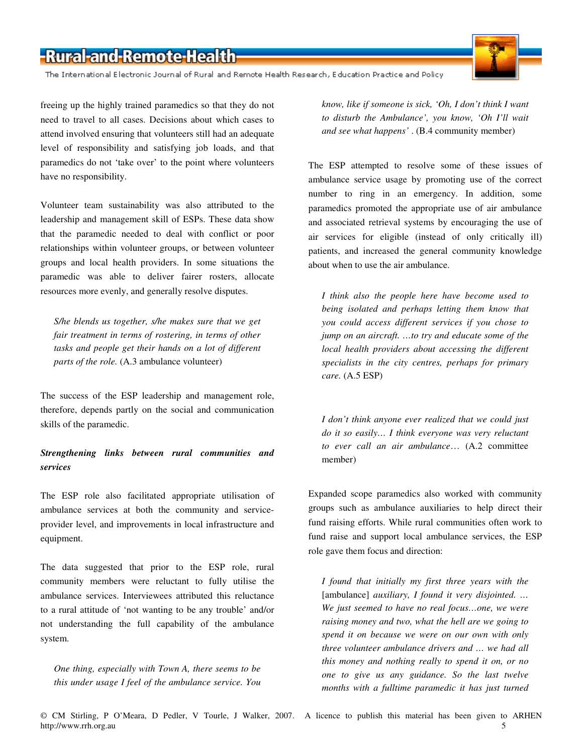The International Electronic Journal of Rural and Remote Health Research, Education Practice and Policy

freeing up the highly trained paramedics so that they do not need to travel to all cases. Decisions about which cases to attend involved ensuring that volunteers still had an adequate level of responsibility and satisfying job loads, and that paramedics do not 'take over' to the point where volunteers have no responsibility.

Volunteer team sustainability was also attributed to the leadership and management skill of ESPs. These data show that the paramedic needed to deal with conflict or poor relationships within volunteer groups, or between volunteer groups and local health providers. In some situations the paramedic was able to deliver fairer rosters, allocate resources more evenly, and generally resolve disputes.

*S/he blends us together, s/he makes sure that we get fair treatment in terms of rostering, in terms of other tasks and people get their hands on a lot of different parts of the role.* (A.3 ambulance volunteer)

The success of the ESP leadership and management role, therefore, depends partly on the social and communication skills of the paramedic.

#### *Strengthening links between rural communities and services*

The ESP role also facilitated appropriate utilisation of ambulance services at both the community and serviceprovider level, and improvements in local infrastructure and equipment.

The data suggested that prior to the ESP role, rural community members were reluctant to fully utilise the ambulance services. Interviewees attributed this reluctance to a rural attitude of 'not wanting to be any trouble' and/or not understanding the full capability of the ambulance system.

*One thing, especially with Town A, there seems to be this under usage I feel of the ambulance service. You*  *know, like if someone is sick, 'Oh, I don't think I want to disturb the Ambulance', you know, 'Oh I'll wait and see what happens'* . (B.4 community member)

The ESP attempted to resolve some of these issues of ambulance service usage by promoting use of the correct number to ring in an emergency. In addition, some paramedics promoted the appropriate use of air ambulance and associated retrieval systems by encouraging the use of air services for eligible (instead of only critically ill) patients, and increased the general community knowledge about when to use the air ambulance.

*I think also the people here have become used to being isolated and perhaps letting them know that you could access different services if you chose to jump on an aircraft. …to try and educate some of the local health providers about accessing the different specialists in the city centres, perhaps for primary care.* (A.5 ESP)

*I don't think anyone ever realized that we could just do it so easily… I think everyone was very reluctant to ever call an air ambulance*… (A.2 committee member)

Expanded scope paramedics also worked with community groups such as ambulance auxiliaries to help direct their fund raising efforts. While rural communities often work to fund raise and support local ambulance services, the ESP role gave them focus and direction:

*I found that initially my first three years with the*  [ambulance] *auxiliary, I found it very disjointed. ... We just seemed to have no real focus…one, we were raising money and two, what the hell are we going to spend it on because we were on our own with only three volunteer ambulance drivers and … we had all this money and nothing really to spend it on, or no one to give us any guidance. So the last twelve months with a fulltime paramedic it has just turned*

© CM Stirling, P O'Meara, D Pedler, V Tourle, J Walker, 2007. A licence to publish this material has been given to ARHEN http://www.rrh.org.au 5

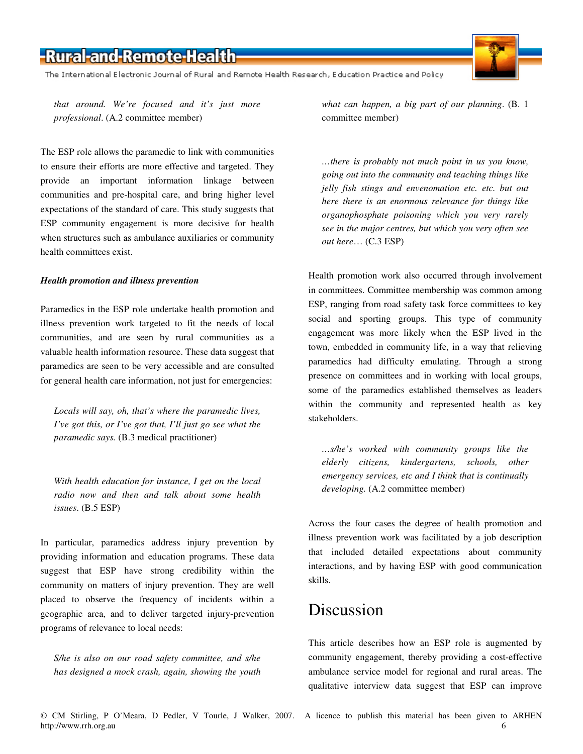The International Electronic Journal of Rural and Remote Health Research, Education Practice and Policy

*that around. We're focused and it's just more professional*. (A.2 committee member)

The ESP role allows the paramedic to link with communities to ensure their efforts are more effective and targeted. They provide an important information linkage between communities and pre-hospital care, and bring higher level expectations of the standard of care. This study suggests that ESP community engagement is more decisive for health when structures such as ambulance auxiliaries or community health committees exist.

#### *Health promotion and illness prevention*

Paramedics in the ESP role undertake health promotion and illness prevention work targeted to fit the needs of local communities, and are seen by rural communities as a valuable health information resource. These data suggest that paramedics are seen to be very accessible and are consulted for general health care information, not just for emergencies:

*Locals will say, oh, that's where the paramedic lives, I've got this, or I've got that, I'll just go see what the paramedic says.* (B.3 medical practitioner)

*With health education for instance, I get on the local radio now and then and talk about some health issues*. (B.5 ESP)

In particular, paramedics address injury prevention by providing information and education programs. These data suggest that ESP have strong credibility within the community on matters of injury prevention. They are well placed to observe the frequency of incidents within a geographic area, and to deliver targeted injury-prevention programs of relevance to local needs:

*S/he is also on our road safety committee, and s/he has designed a mock crash, again, showing the youth* *what can happen, a big part of our planning*. (B. 1 committee member)

*…there is probably not much point in us you know, going out into the community and teaching things like jelly fish stings and envenomation etc. etc. but out here there is an enormous relevance for things like organophosphate poisoning which you very rarely see in the major centres, but which you very often see out here*… (C.3 ESP)

Health promotion work also occurred through involvement in committees. Committee membership was common among ESP, ranging from road safety task force committees to key social and sporting groups. This type of community engagement was more likely when the ESP lived in the town, embedded in community life, in a way that relieving paramedics had difficulty emulating. Through a strong presence on committees and in working with local groups, some of the paramedics established themselves as leaders within the community and represented health as key stakeholders.

*…s/he's worked with community groups like the elderly citizens, kindergartens, schools, other emergency services, etc and I think that is continually developing.* (A.2 committee member)

Across the four cases the degree of health promotion and illness prevention work was facilitated by a job description that included detailed expectations about community interactions, and by having ESP with good communication skills.

# Discussion

This article describes how an ESP role is augmented by community engagement, thereby providing a cost-effective ambulance service model for regional and rural areas. The qualitative interview data suggest that ESP can improve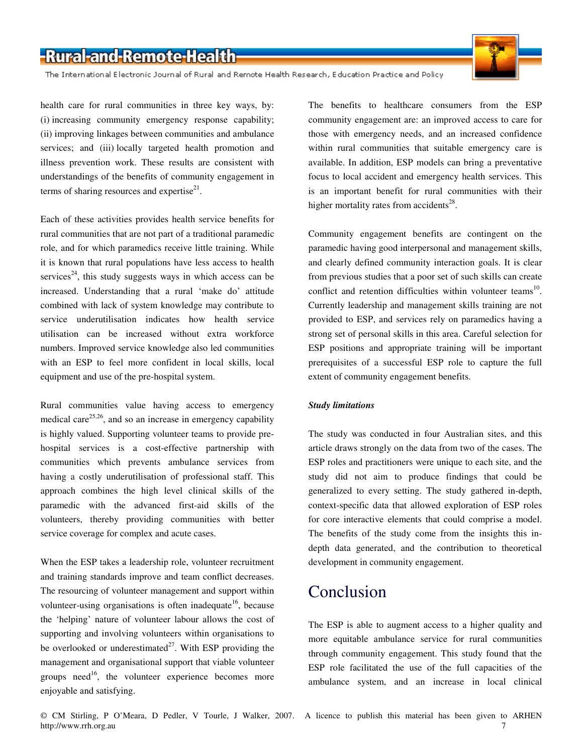The International Electronic Journal of Rural and Remote Health Research, Education Practice and Policy

health care for rural communities in three key ways, by: (i) increasing community emergency response capability; (ii) improving linkages between communities and ambulance services; and (iii) locally targeted health promotion and illness prevention work. These results are consistent with understandings of the benefits of community engagement in terms of sharing resources and expertise $2<sup>1</sup>$ .

Each of these activities provides health service benefits for rural communities that are not part of a traditional paramedic role, and for which paramedics receive little training. While it is known that rural populations have less access to health services<sup>24</sup>, this study suggests ways in which access can be increased. Understanding that a rural 'make do' attitude combined with lack of system knowledge may contribute to service underutilisation indicates how health service utilisation can be increased without extra workforce numbers. Improved service knowledge also led communities with an ESP to feel more confident in local skills, local equipment and use of the pre-hospital system.

Rural communities value having access to emergency medical care<sup>25,26</sup>, and so an increase in emergency capability is highly valued. Supporting volunteer teams to provide prehospital services is a cost-effective partnership with communities which prevents ambulance services from having a costly underutilisation of professional staff. This approach combines the high level clinical skills of the paramedic with the advanced first-aid skills of the volunteers, thereby providing communities with better service coverage for complex and acute cases.

When the ESP takes a leadership role, volunteer recruitment and training standards improve and team conflict decreases. The resourcing of volunteer management and support within volunteer-using organisations is often inadequate<sup>16</sup>, because the 'helping' nature of volunteer labour allows the cost of supporting and involving volunteers within organisations to be overlooked or underestimated<sup>27</sup>. With ESP providing the management and organisational support that viable volunteer groups need<sup>16</sup>, the volunteer experience becomes more enjoyable and satisfying.

The benefits to healthcare consumers from the ESP community engagement are: an improved access to care for those with emergency needs, and an increased confidence within rural communities that suitable emergency care is available. In addition, ESP models can bring a preventative focus to local accident and emergency health services. This is an important benefit for rural communities with their higher mortality rates from accidents<sup>28</sup>.

Community engagement benefits are contingent on the paramedic having good interpersonal and management skills, and clearly defined community interaction goals. It is clear from previous studies that a poor set of such skills can create conflict and retention difficulties within volunteer teams<sup>10</sup>. Currently leadership and management skills training are not provided to ESP, and services rely on paramedics having a strong set of personal skills in this area. Careful selection for ESP positions and appropriate training will be important prerequisites of a successful ESP role to capture the full extent of community engagement benefits.

#### *Study limitations*

The study was conducted in four Australian sites, and this article draws strongly on the data from two of the cases. The ESP roles and practitioners were unique to each site, and the study did not aim to produce findings that could be generalized to every setting. The study gathered in-depth, context-specific data that allowed exploration of ESP roles for core interactive elements that could comprise a model. The benefits of the study come from the insights this indepth data generated, and the contribution to theoretical development in community engagement.

### Conclusion

The ESP is able to augment access to a higher quality and more equitable ambulance service for rural communities through community engagement. This study found that the ESP role facilitated the use of the full capacities of the ambulance system, and an increase in local clinical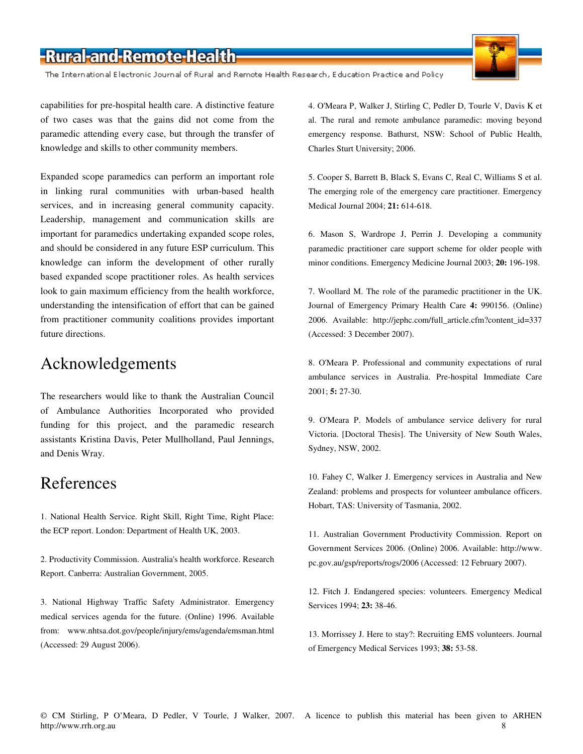The International Electronic Journal of Rural and Remote Health Research, Education Practice and Policy

capabilities for pre-hospital health care. A distinctive feature of two cases was that the gains did not come from the paramedic attending every case, but through the transfer of knowledge and skills to other community members.

Expanded scope paramedics can perform an important role in linking rural communities with urban-based health services, and in increasing general community capacity. Leadership, management and communication skills are important for paramedics undertaking expanded scope roles, and should be considered in any future ESP curriculum. This knowledge can inform the development of other rurally based expanded scope practitioner roles. As health services look to gain maximum efficiency from the health workforce, understanding the intensification of effort that can be gained from practitioner community coalitions provides important future directions.

### Acknowledgements

The researchers would like to thank the Australian Council of Ambulance Authorities Incorporated who provided funding for this project, and the paramedic research assistants Kristina Davis, Peter Mullholland, Paul Jennings, and Denis Wray.

### References

1. National Health Service. Right Skill, Right Time, Right Place: the ECP report. London: Department of Health UK, 2003.

2. Productivity Commission. Australia's health workforce. Research Report. Canberra: Australian Government, 2005.

3. National Highway Traffic Safety Administrator. Emergency medical services agenda for the future. (Online) 1996. Available from: www.nhtsa.dot.gov/people/injury/ems/agenda/emsman.html (Accessed: 29 August 2006).

4. O'Meara P, Walker J, Stirling C, Pedler D, Tourle V, Davis K et al. The rural and remote ambulance paramedic: moving beyond emergency response. Bathurst, NSW: School of Public Health, Charles Sturt University; 2006.

5. Cooper S, Barrett B, Black S, Evans C, Real C, Williams S et al. The emerging role of the emergency care practitioner. Emergency Medical Journal 2004; **21:** 614-618.

6. Mason S, Wardrope J, Perrin J. Developing a community paramedic practitioner care support scheme for older people with minor conditions. Emergency Medicine Journal 2003; **20:** 196-198.

7. Woollard M. The role of the paramedic practitioner in the UK. Journal of Emergency Primary Health Care **4:** 990156. (Online) 2006. Available: http://jephc.com/full\_article.cfm?content\_id=337 (Accessed: 3 December 2007).

8. O'Meara P. Professional and community expectations of rural ambulance services in Australia. Pre-hospital Immediate Care 2001; **5:** 27-30.

9. O'Meara P. Models of ambulance service delivery for rural Victoria. [Doctoral Thesis]. The University of New South Wales, Sydney, NSW, 2002.

10. Fahey C, Walker J. Emergency services in Australia and New Zealand: problems and prospects for volunteer ambulance officers. Hobart, TAS: University of Tasmania, 2002.

11. Australian Government Productivity Commission. Report on Government Services 2006. (Online) 2006. Available: http://www. pc.gov.au/gsp/reports/rogs/2006 (Accessed: 12 February 2007).

12. Fitch J. Endangered species: volunteers. Emergency Medical Services 1994; **23:** 38-46.

13. Morrissey J. Here to stay?: Recruiting EMS volunteers. Journal of Emergency Medical Services 1993; **38:** 53-58.